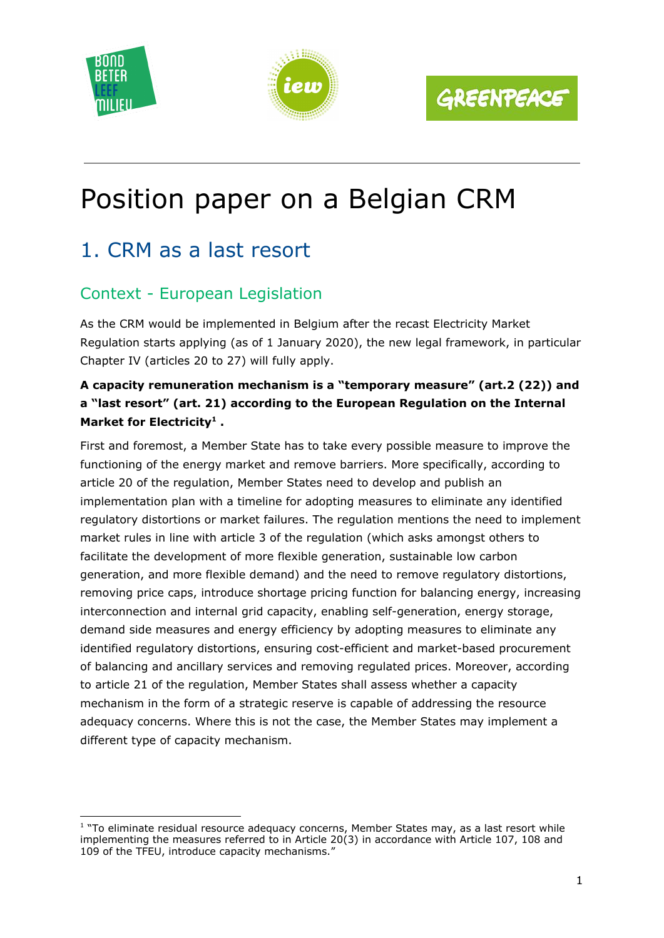





# Position paper on a Belgian CRM

## 1. CRM as a last resort

## Context - European Legislation

As the CRM would be implemented in Belgium after the recast Electricity Market Regulation starts applying (as of 1 January 2020), the new legal framework, in particular Chapter IV (articles 20 to 27) will fully apply.

#### **A capacity remuneration mechanism is a "temporary measure" (art.2 (22)) and a "last resort" (art. 21) according to the European Regulation on the Internal Market for Electricity . 1**

First and foremost, a Member State has to take every possible measure to improve the functioning of the energy market and remove barriers. More specifically, according to article 20 of the regulation, Member States need to develop and publish an implementation plan with a timeline for adopting measures to eliminate any identified regulatory distortions or market failures. The regulation mentions the need to implement market rules in line with article 3 of the regulation (which asks amongst others to facilitate the development of more flexible generation, sustainable low carbon generation, and more flexible demand) and the need to remove regulatory distortions, removing price caps, introduce shortage pricing function for balancing energy, increasing interconnection and internal grid capacity, enabling self-generation, energy storage, demand side measures and energy efficiency by adopting measures to eliminate any identified regulatory distortions, ensuring cost-efficient and market-based procurement of balancing and ancillary services and removing regulated prices. Moreover, according to article 21 of the regulation, Member States shall assess whether a capacity mechanism in the form of a strategic reserve is capable of addressing the resource adequacy concerns. Where this is not the case, the Member States may implement a different type of capacity mechanism.

<sup>&</sup>lt;sup>1</sup> "To eliminate residual resource adequacy concerns, Member States may, as a last resort while implementing the measures referred to in Article 20(3) in accordance with Article 107, 108 and 109 of the TFEU, introduce capacity mechanisms."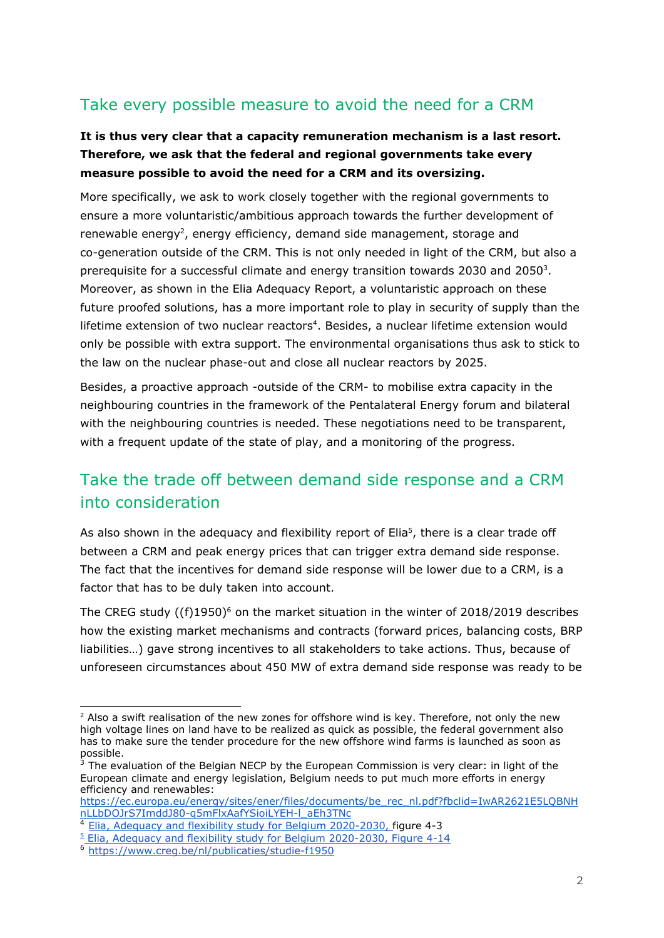#### Take every possible measure to avoid the need for a CRM

#### **It is thus very clear that a capacity remuneration mechanism is a last resort. Therefore, we ask that the federal and regional governments take every measure possible to avoid the need for a CRM and its oversizing.**

More specifically, we ask to work closely together with the regional governments to ensure a more voluntaristic/ambitious approach towards the further development of renewable energy<sup>2</sup>, energy efficiency, demand side management, storage and co-generation outside of the CRM. This is not only needed in light of the CRM, but also a prerequisite for a successful climate and energy transition towards 2030 and 2050 $3$ . Moreover, as shown in the Elia Adequacy Report, a voluntaristic approach on these future proofed solutions, has a more important role to play in security of supply than the lifetime extension of two nuclear reactors<sup>4</sup>. Besides, a nuclear lifetime extension would only be possible with extra support. The environmental organisations thus ask to stick to the law on the nuclear phase-out and close all nuclear reactors by 2025.

Besides, a proactive approach -outside of the CRM- to mobilise extra capacity in the neighbouring countries in the framework of the Pentalateral Energy forum and bilateral with the neighbouring countries is needed. These negotiations need to be transparent, with a frequent update of the state of play, and a monitoring of the progress.

### Take the trade off between demand side response and a CRM into consideration

As also shown in the adequacy and flexibility report of Elia<sup>5</sup>, there is a clear trade off between a CRM and peak energy prices that can trigger extra demand side response. The fact that the incentives for demand side response will be lower due to a CRM, is a factor that has to be duly taken into account.

The CREG study  $((f)1950)^6$  on the market situation in the winter of 2018/2019 describes how the existing market mechanisms and contracts (forward prices, balancing costs, BRP liabilities…) gave strong incentives to all stakeholders to take actions. Thus, because of unforeseen circumstances about 450 MW of extra demand side response was ready to be

 $^2$  Also a swift realisation of the new zones for offshore wind is key. Therefore, not only the new high voltage lines on land have to be realized as quick as possible, the federal government also has to make sure the tender procedure for the new offshore wind farms is launched as soon as possible.

 $3$  The evaluation of the Belgian NECP by the European Commission is very clear: in light of the European climate and energy legislation, Belgium needs to put much more efforts in energy efficiency and renewables:

[https://ec.europa.eu/energy/sites/ener/files/documents/be\\_rec\\_nl.pdf?fbclid=IwAR2621E5LQBNH](https://ec.europa.eu/energy/sites/ener/files/documents/be_rec_nl.pdf?fbclid=IwAR2621E5LQBNHnLLbDOJrS7ImddJ80-q5mFlxAafYSioiLYEH-l_aEh3TNc) [nLLbDOJrS7ImddJ80-q5mFlxAafYSioiLYEH-l\\_aEh3TNc](https://ec.europa.eu/energy/sites/ener/files/documents/be_rec_nl.pdf?fbclid=IwAR2621E5LQBNHnLLbDOJrS7ImddJ80-q5mFlxAafYSioiLYEH-l_aEh3TNc)

<sup>4</sup> [Elia, Adequacy and flexibility study for Belgium 2020-2030, f](http://www.elia.be/en/about-elia/newsroom/news/2019/20190628_Adequacy-and-flexibility-study)igure 4-3

<sup>&</sup>lt;sup>5</sup> [Elia, Adequacy and flexibility study for Belgium 2020-2030, Figure 4-14](http://www.elia.be/en/about-elia/newsroom/news/2019/20190628_Adequacy-and-flexibility-study)

<sup>6</sup> <https://www.creg.be/nl/publicaties/studie-f1950>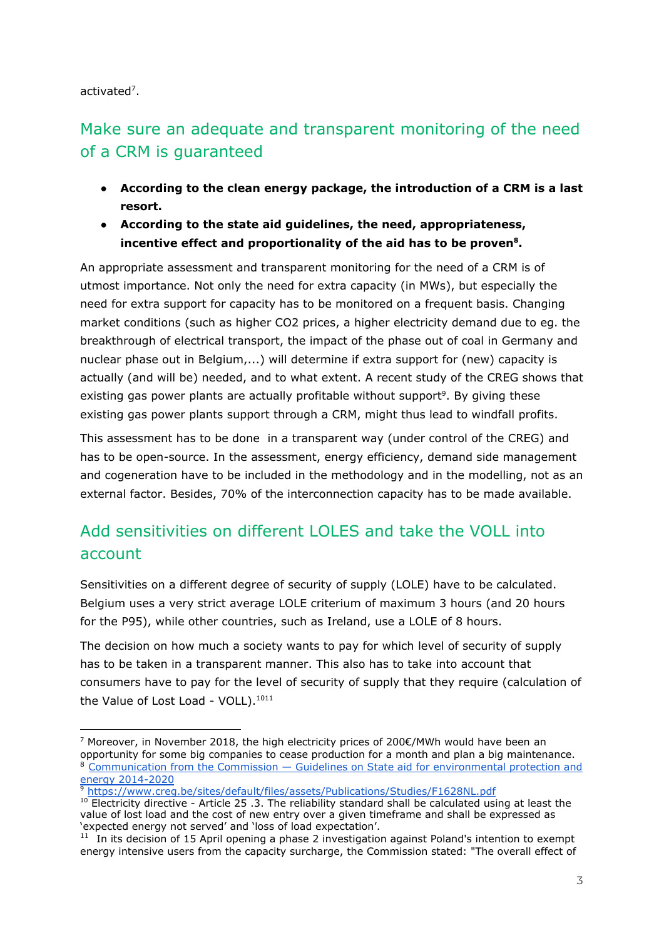activated<sup>7</sup>.

## Make sure an adequate and transparent monitoring of the need of a CRM is guaranteed

- **● According to the clean energy package, the introduction of a CRM is a last resort.**
- **● According to the state aid guidelines, the need, appropriateness, incentive effect and proportionality of the aid has to be proven . 8**

An appropriate assessment and transparent monitoring for the need of a CRM is of utmost importance. Not only the need for extra capacity (in MWs), but especially the need for extra support for capacity has to be monitored on a frequent basis. Changing market conditions (such as higher CO2 prices, a higher electricity demand due to eg. the breakthrough of electrical transport, the impact of the phase out of coal in Germany and nuclear phase out in Belgium,...) will determine if extra support for (new) capacity is actually (and will be) needed, and to what extent. A recent study of the CREG shows that existing gas power plants are actually profitable without support<sup>9</sup>. By giving these existing gas power plants support through a CRM, might thus lead to windfall profits.

This assessment has to be done in a transparent way (under control of the CREG) and has to be open-source. In the assessment, energy efficiency, demand side management and cogeneration have to be included in the methodology and in the modelling, not as an external factor. Besides, 70% of the interconnection capacity has to be made available.

## Add sensitivities on different LOLES and take the VOLL into account

Sensitivities on a different degree of security of supply (LOLE) have to be calculated. Belgium uses a very strict average LOLE criterium of maximum 3 hours (and 20 hours for the P95), while other countries, such as Ireland, use a LOLE of 8 hours.

The decision on how much a society wants to pay for which level of security of supply has to be taken in a transparent manner. This also has to take into account that consumers have to pay for the level of security of supply that they require (calculation of the Value of Lost Load - VOLL).<sup>1011</sup>

<sup>&</sup>lt;sup>7</sup> Moreover, in November 2018, the high electricity prices of 200€/MWh would have been an opportunity for some big companies to cease production for a month and plan a big maintenance. <sup>8</sup> [Communication from the Commission — Guidelines on State aid for environmental protection and](https://eur-lex.europa.eu/legal-content/EN/TXT/HTML/?uri=CELEX:52014XC0628(01)&from=EN) [energy 2014-2020](https://eur-lex.europa.eu/legal-content/EN/TXT/HTML/?uri=CELEX:52014XC0628(01)&from=EN)

<sup>9</sup> <https://www.creg.be/sites/default/files/assets/Publications/Studies/F1628NL.pdf>

<sup>&</sup>lt;sup>10</sup> Electricity directive - Article 25 .3. The reliability standard shall be calculated using at least the value of lost load and the cost of new entry over a given timeframe and shall be expressed as 'expected energy not served' and 'loss of load expectation'.

 $11$  In its decision of 15 April opening a phase 2 investigation against Poland's intention to exempt energy intensive users from the capacity surcharge, the Commission stated: "The overall effect of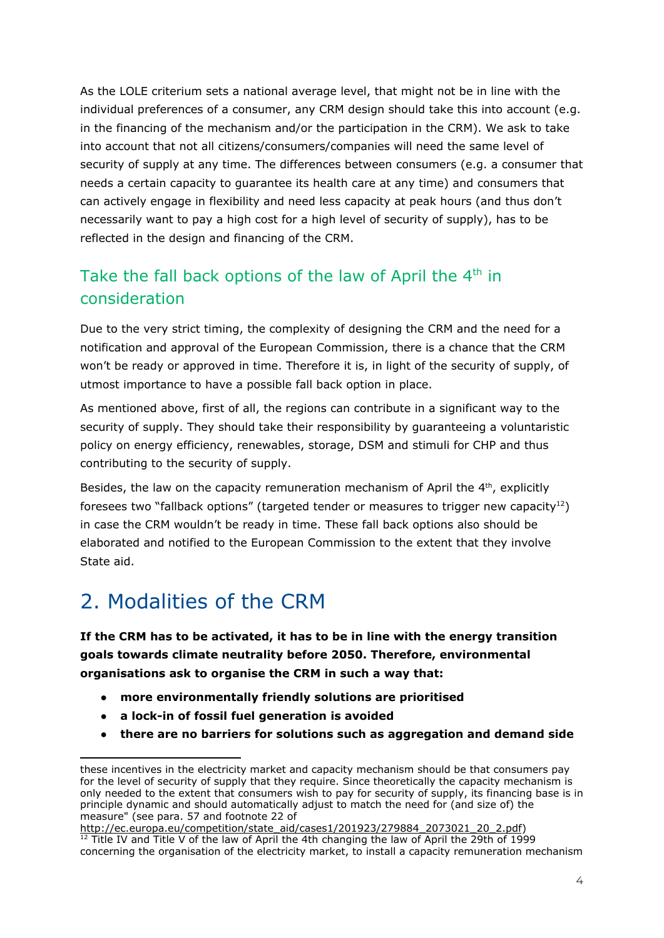As the LOLE criterium sets a national average level, that might not be in line with the individual preferences of a consumer, any CRM design should take this into account (e.g. in the financing of the mechanism and/or the participation in the CRM). We ask to take into account that not all citizens/consumers/companies will need the same level of security of supply at any time. The differences between consumers (e.g. a consumer that needs a certain capacity to guarantee its health care at any time) and consumers that can actively engage in flexibility and need less capacity at peak hours (and thus don't necessarily want to pay a high cost for a high level of security of supply), has to be reflected in the design and financing of the CRM.

### Take the fall back options of the law of April the 4<sup>th</sup> in consideration

Due to the very strict timing, the complexity of designing the CRM and the need for a notification and approval of the European Commission, there is a chance that the CRM won't be ready or approved in time. Therefore it is, in light of the security of supply, of utmost importance to have a possible fall back option in place.

As mentioned above, first of all, the regions can contribute in a significant way to the security of supply. They should take their responsibility by guaranteeing a voluntaristic policy on energy efficiency, renewables, storage, DSM and stimuli for CHP and thus contributing to the security of supply.

Besides, the law on the capacity remuneration mechanism of April the  $4<sup>th</sup>$ , explicitly foresees two "fallback options" (targeted tender or measures to trigger new capacity<sup>12</sup>) in case the CRM wouldn't be ready in time. These fall back options also should be elaborated and notified to the European Commission to the extent that they involve State aid.

## 2. Modalities of the CRM

**If the CRM has to be activated, it has to be in line with the energy transition goals towards climate neutrality before 2050. Therefore, environmental organisations ask to organise the CRM in such a way that:**

- **● more environmentally friendly solutions are prioritised**
- **● a lock-in of fossil fuel generation is avoided**
- **● there are no barriers for solutions such as aggregation and demand side**

these incentives in the electricity market and capacity mechanism should be that consumers pay for the level of security of supply that they require. Since theoretically the capacity mechanism is only needed to the extent that consumers wish to pay for security of supply, its financing base is in principle dynamic and should automatically adjust to match the need for (and size of) the measure" (see para. 57 and footnote 22 of

[http://ec.europa.eu/competition/state\\_aid/cases1/201923/279884\\_2073021\\_20\\_2.pdf](http://ec.europa.eu/competition/state_aid/cases1/201923/279884_2073021_20_2.pdf))  $12$  Title IV and Title V of the law of April the 4th changing the law of April the 29th of 1999 concerning the organisation of the electricity market, to install a capacity remuneration mechanism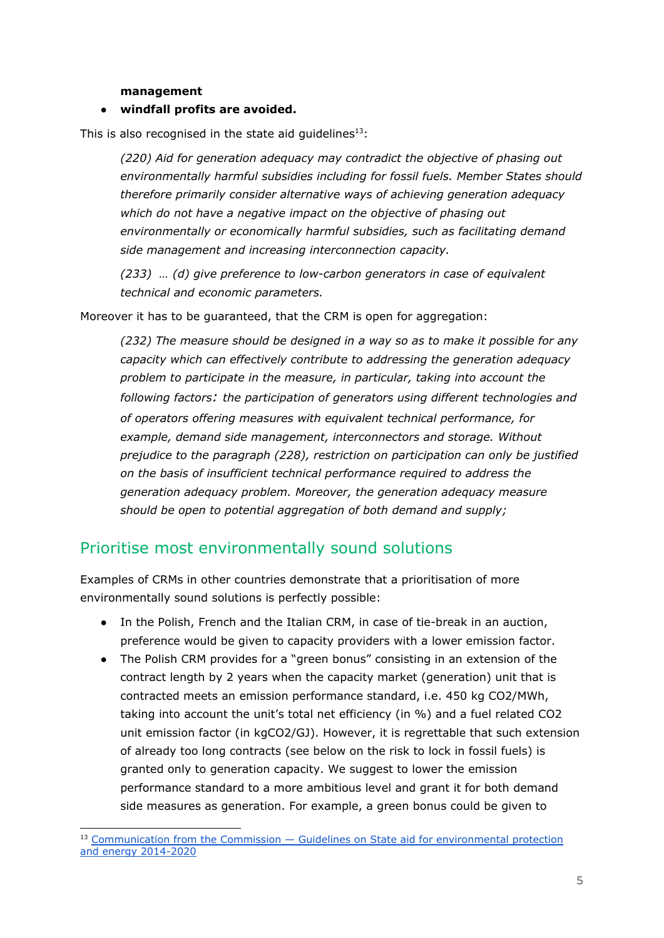**management**

#### **● windfall profits are avoided.**

This is also recognised in the state aid guidelines $^{13}$ :

*(220) Aid for generation adequacy may contradict the objective of phasing out environmentally harmful subsidies including for fossil fuels. Member States should therefore primarily consider alternative ways of achieving generation adequacy which do not have a negative impact on the objective of phasing out environmentally or economically harmful subsidies, such as facilitating demand side management and increasing interconnection capacity.*

*(233) … (d) give preference to low-carbon generators in case of equivalent technical and economic parameters.*

Moreover it has to be guaranteed, that the CRM is open for aggregation:

*(232) The measure should be designed in a way so as to make it possible for any capacity which can effectively contribute to addressing the generation adequacy problem to participate in the measure, in particular, taking into account the following factors: the participation of generators using different technologies and of operators offering measures with equivalent technical performance, for example, demand side management, interconnectors and storage. Without prejudice to the paragraph (228), restriction on participation can only be justified on the basis of insufficient technical performance required to address the generation adequacy problem. Moreover, the generation adequacy measure should be open to potential aggregation of both demand and supply;*

#### Prioritise most environmentally sound solutions

Examples of CRMs in other countries demonstrate that a prioritisation of more environmentally sound solutions is perfectly possible:

- In the Polish, French and the Italian CRM, in case of tie-break in an auction, preference would be given to capacity providers with a lower emission factor.
- The Polish CRM provides for a "green bonus" consisting in an extension of the contract length by 2 years when the capacity market (generation) unit that is contracted meets an emission performance standard, i.e. 450 kg CO2/MWh, taking into account the unit's total net efficiency (in %) and a fuel related CO2 unit emission factor (in kgCO2/GJ). However, it is regrettable that such extension of already too long contracts (see below on the risk to lock in fossil fuels) is granted only to generation capacity. We suggest to lower the emission performance standard to a more ambitious level and grant it for both demand side measures as generation. For example, a green bonus could be given to

<sup>&</sup>lt;sup>13</sup> [Communication from the Commission — Guidelines on State aid for environmental protection](https://eur-lex.europa.eu/legal-content/EN/TXT/HTML/?uri=CELEX:52014XC0628(01)&from=EN) [and energy 2014-2020](https://eur-lex.europa.eu/legal-content/EN/TXT/HTML/?uri=CELEX:52014XC0628(01)&from=EN)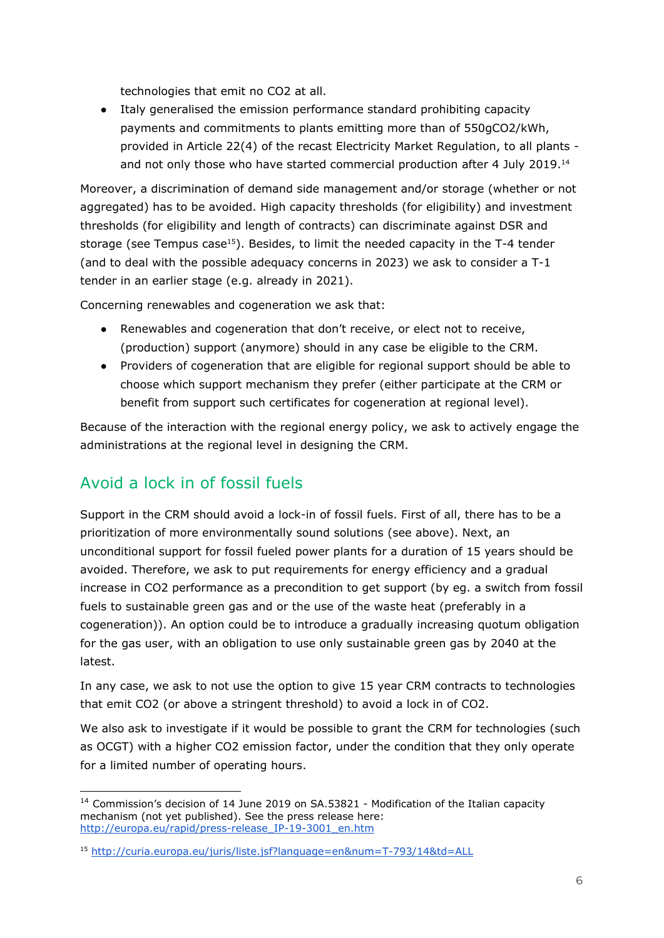technologies that emit no CO2 at all.

● Italy generalised the emission performance standard prohibiting capacity payments and commitments to plants emitting more than of 550gCO2/kWh, provided in Article 22(4) of the recast Electricity Market Regulation, to all plants and not only those who have started commercial production after 4 July 2019.<sup>14</sup>

Moreover, a discrimination of demand side management and/or storage (whether or not aggregated) has to be avoided. High capacity thresholds (for eligibility) and investment thresholds (for eligibility and length of contracts) can discriminate against DSR and storage (see Tempus case<sup>15</sup>). Besides, to limit the needed capacity in the T-4 tender (and to deal with the possible adequacy concerns in 2023) we ask to consider a T-1 tender in an earlier stage (e.g. already in 2021).

Concerning renewables and cogeneration we ask that:

- Renewables and cogeneration that don't receive, or elect not to receive, (production) support (anymore) should in any case be eligible to the CRM.
- Providers of cogeneration that are eligible for regional support should be able to choose which support mechanism they prefer (either participate at the CRM or benefit from support such certificates for cogeneration at regional level).

Because of the interaction with the regional energy policy, we ask to actively engage the administrations at the regional level in designing the CRM.

### Avoid a lock in of fossil fuels

Support in the CRM should avoid a lock-in of fossil fuels. First of all, there has to be a prioritization of more environmentally sound solutions (see above). Next, an unconditional support for fossil fueled power plants for a duration of 15 years should be avoided. Therefore, we ask to put requirements for energy efficiency and a gradual increase in CO2 performance as a precondition to get support (by eg. a switch from fossil fuels to sustainable green gas and or the use of the waste heat (preferably in a cogeneration)). An option could be to introduce a gradually increasing quotum obligation for the gas user, with an obligation to use only sustainable green gas by 2040 at the latest.

In any case, we ask to not use the option to give 15 year CRM contracts to technologies that emit CO2 (or above a stringent threshold) to avoid a lock in of CO2.

We also ask to investigate if it would be possible to grant the CRM for technologies (such as OCGT) with a higher CO2 emission factor, under the condition that they only operate for a limited number of operating hours.

<sup>&</sup>lt;sup>14</sup> Commission's decision of 14 June 2019 on SA.53821 - Modification of the Italian capacity mechanism (not yet published). See the press release here: [http://europa.eu/rapid/press-release\\_IP-19-3001\\_en.htm](http://europa.eu/rapid/press-release_IP-19-3001_en.htm)

<sup>15</sup> <http://curia.europa.eu/juris/liste.jsf?language=en&num=T-793/14&td=ALL>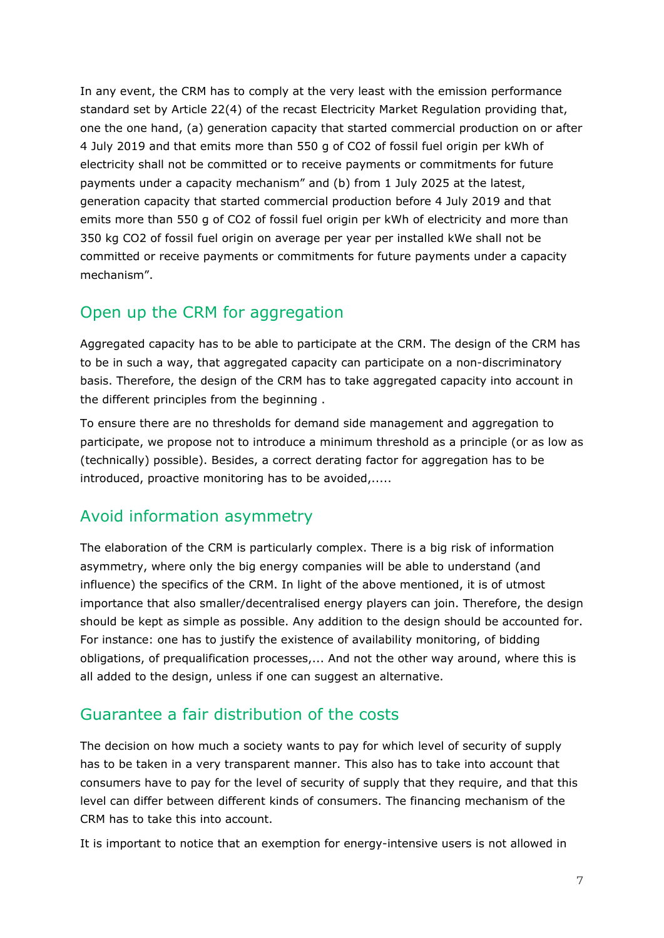In any event, the CRM has to comply at the very least with the emission performance standard set by Article 22(4) of the recast Electricity Market Regulation providing that, one the one hand, (a) generation capacity that started commercial production on or after 4 July 2019 and that emits more than 550 g of CO2 of fossil fuel origin per kWh of electricity shall not be committed or to receive payments or commitments for future payments under a capacity mechanism" and (b) from 1 July 2025 at the latest, generation capacity that started commercial production before 4 July 2019 and that emits more than 550 g of CO2 of fossil fuel origin per kWh of electricity and more than 350 kg CO2 of fossil fuel origin on average per year per installed kWe shall not be committed or receive payments or commitments for future payments under a capacity mechanism".

#### Open up the CRM for aggregation

Aggregated capacity has to be able to participate at the CRM. The design of the CRM has to be in such a way, that aggregated capacity can participate on a non-discriminatory basis. Therefore, the design of the CRM has to take aggregated capacity into account in the different principles from the beginning .

To ensure there are no thresholds for demand side management and aggregation to participate, we propose not to introduce a minimum threshold as a principle (or as low as (technically) possible). Besides, a correct derating factor for aggregation has to be introduced, proactive monitoring has to be avoided,.....

### Avoid information asymmetry

The elaboration of the CRM is particularly complex. There is a big risk of information asymmetry, where only the big energy companies will be able to understand (and influence) the specifics of the CRM. In light of the above mentioned, it is of utmost importance that also smaller/decentralised energy players can join. Therefore, the design should be kept as simple as possible. Any addition to the design should be accounted for. For instance: one has to justify the existence of availability monitoring, of bidding obligations, of prequalification processes,... And not the other way around, where this is all added to the design, unless if one can suggest an alternative.

### Guarantee a fair distribution of the costs

The decision on how much a society wants to pay for which level of security of supply has to be taken in a very transparent manner. This also has to take into account that consumers have to pay for the level of security of supply that they require, and that this level can differ between different kinds of consumers. The financing mechanism of the CRM has to take this into account.

It is important to notice that an exemption for energy-intensive users is not allowed in